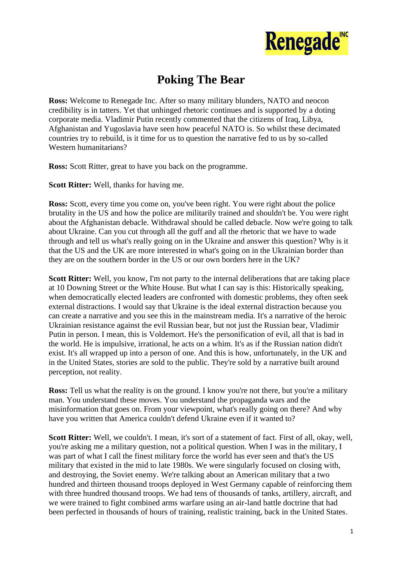

## **Poking The Bear**

**Ross:** Welcome to Renegade Inc. After so many military blunders, NATO and neocon credibility is in tatters. Yet that unhinged rhetoric continues and is supported by a doting corporate media. Vladimir Putin recently commented that the citizens of Iraq, Libya, Afghanistan and Yugoslavia have seen how peaceful NATO is. So whilst these decimated countries try to rebuild, is it time for us to question the narrative fed to us by so-called Western humanitarians?

**Ross:** Scott Ritter, great to have you back on the programme.

**Scott Ritter:** Well, thanks for having me.

**Ross:** Scott, every time you come on, you've been right. You were right about the police brutality in the US and how the police are militarily trained and shouldn't be. You were right about the Afghanistan debacle. Withdrawal should be called debacle. Now we're going to talk about Ukraine. Can you cut through all the guff and all the rhetoric that we have to wade through and tell us what's really going on in the Ukraine and answer this question? Why is it that the US and the UK are more interested in what's going on in the Ukrainian border than they are on the southern border in the US or our own borders here in the UK?

**Scott Ritter:** Well, you know, I'm not party to the internal deliberations that are taking place at 10 Downing Street or the White House. But what I can say is this: Historically speaking, when democratically elected leaders are confronted with domestic problems, they often seek external distractions. I would say that Ukraine is the ideal external distraction because you can create a narrative and you see this in the mainstream media. It's a narrative of the heroic Ukrainian resistance against the evil Russian bear, but not just the Russian bear, Vladimir Putin in person. I mean, this is Voldemort. He's the personification of evil, all that is bad in the world. He is impulsive, irrational, he acts on a whim. It's as if the Russian nation didn't exist. It's all wrapped up into a person of one. And this is how, unfortunately, in the UK and in the United States, stories are sold to the public. They're sold by a narrative built around perception, not reality.

**Ross:** Tell us what the reality is on the ground. I know you're not there, but you're a military man. You understand these moves. You understand the propaganda wars and the misinformation that goes on. From your viewpoint, what's really going on there? And why have you written that America couldn't defend Ukraine even if it wanted to?

**Scott Ritter:** Well, we couldn't. I mean, it's sort of a statement of fact. First of all, okay, well, you're asking me a military question, not a political question. When I was in the military, I was part of what I call the finest military force the world has ever seen and that's the US military that existed in the mid to late 1980s. We were singularly focused on closing with, and destroying, the Soviet enemy. We're talking about an American military that a two hundred and thirteen thousand troops deployed in West Germany capable of reinforcing them with three hundred thousand troops. We had tens of thousands of tanks, artillery, aircraft, and we were trained to fight combined arms warfare using an air-land battle doctrine that had been perfected in thousands of hours of training, realistic training, back in the United States.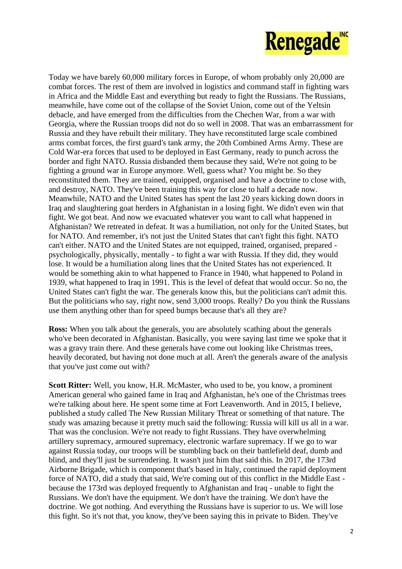

Today we have barely 60,000 military forces in Europe, of whom probably only 20,000 are combat forces. The rest of them are involved in logistics and command staff in fighting wars in Africa and the Middle East and everything but ready to fight the Russians. The Russians, meanwhile, have come out of the collapse of the Soviet Union, come out of the Yeltsin debacle, and have emerged from the difficulties from the Chechen War, from a war with Georgia, where the Russian troops did not do so well in 2008. That was an embarrassment for Russia and they have rebuilt their military. They have reconstituted large scale combined arms combat forces, the first guard's tank army, the 20th Combined Arms Army. These are Cold War-era forces that used to be deployed in East Germany, ready to punch across the border and fight NATO. Russia disbanded them because they said, We're not going to be fighting a ground war in Europe anymore. Well, guess what? You might be. So they reconstituted them. They are trained, equipped, organised and have a doctrine to close with, and destroy, NATO. They've been training this way for close to half a decade now. Meanwhile, NATO and the United States has spent the last 20 years kicking down doors in Iraq and slaughtering goat herders in Afghanistan in a losing fight. We didn't even win that fight. We got beat. And now we evacuated whatever you want to call what happened in Afghanistan? We retreated in defeat. It was a humiliation, not only for the United States, but for NATO. And remember, it's not just the United States that can't fight this fight. NATO can't either. NATO and the United States are not equipped, trained, organised, prepared psychologically, physically, mentally - to fight a war with Russia. If they did, they would lose. It would be a humiliation along lines that the United States has not experienced. It would be something akin to what happened to France in 1940, what happened to Poland in 1939, what happened to Iraq in 1991. This is the level of defeat that would occur. So no, the United States can't fight the war. The generals know this, but the politicians can't admit this. But the politicians who say, right now, send 3,000 troops. Really? Do you think the Russians use them anything other than for speed bumps because that's all they are?

**Ross:** When you talk about the generals, you are absolutely scathing about the generals who've been decorated in Afghanistan. Basically, you were saying last time we spoke that it was a gravy train there. And these generals have come out looking like Christmas trees, heavily decorated, but having not done much at all. Aren't the generals aware of the analysis that you've just come out with?

**Scott Ritter:** Well, you know, H.R. McMaster, who used to be, you know, a prominent American general who gained fame in Iraq and Afghanistan, he's one of the Christmas trees we're talking about here. He spent some time at Fort Leavenworth. And in 2015, I believe, published a study called The New Russian Military Threat or something of that nature. The study was amazing because it pretty much said the following: Russia will kill us all in a war. That was the conclusion. We're not ready to fight Russians. They have overwhelming artillery supremacy, armoured supremacy, electronic warfare supremacy. If we go to war against Russia today, our troops will be stumbling back on their battlefield deaf, dumb and blind, and they'll just be surrendering. It wasn't just him that said this. In 2017, the 173rd Airborne Brigade, which is component that's based in Italy, continued the rapid deployment force of NATO, did a study that said, We're coming out of this conflict in the Middle East because the 173rd was deployed frequently to Afghanistan and Iraq - unable to fight the Russians. We don't have the equipment. We don't have the training. We don't have the doctrine. We got nothing. And everything the Russians have is superior to us. We will lose this fight. So it's not that, you know, they've been saying this in private to Biden. They've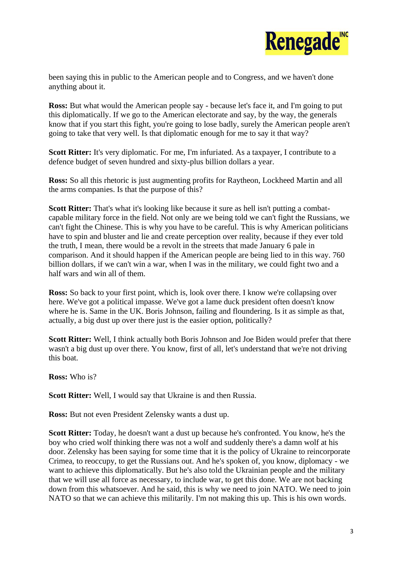

been saying this in public to the American people and to Congress, and we haven't done anything about it.

**Ross:** But what would the American people say - because let's face it, and I'm going to put this diplomatically. If we go to the American electorate and say, by the way, the generals know that if you start this fight, you're going to lose badly, surely the American people aren't going to take that very well. Is that diplomatic enough for me to say it that way?

**Scott Ritter:** It's very diplomatic. For me, I'm infuriated. As a taxpayer, I contribute to a defence budget of seven hundred and sixty-plus billion dollars a year.

**Ross:** So all this rhetoric is just augmenting profits for Raytheon, Lockheed Martin and all the arms companies. Is that the purpose of this?

**Scott Ritter:** That's what it's looking like because it sure as hell isn't putting a combatcapable military force in the field. Not only are we being told we can't fight the Russians, we can't fight the Chinese. This is why you have to be careful. This is why American politicians have to spin and bluster and lie and create perception over reality, because if they ever told the truth, I mean, there would be a revolt in the streets that made January 6 pale in comparison. And it should happen if the American people are being lied to in this way. 760 billion dollars, if we can't win a war, when I was in the military, we could fight two and a half wars and win all of them.

**Ross:** So back to your first point, which is, look over there. I know we're collapsing over here. We've got a political impasse. We've got a lame duck president often doesn't know where he is. Same in the UK. Boris Johnson, failing and floundering. Is it as simple as that, actually, a big dust up over there just is the easier option, politically?

**Scott Ritter:** Well, I think actually both Boris Johnson and Joe Biden would prefer that there wasn't a big dust up over there. You know, first of all, let's understand that we're not driving this boat.

**Ross:** Who is?

**Scott Ritter:** Well, I would say that Ukraine is and then Russia.

**Ross:** But not even President Zelensky wants a dust up.

**Scott Ritter:** Today, he doesn't want a dust up because he's confronted. You know, he's the boy who cried wolf thinking there was not a wolf and suddenly there's a damn wolf at his door. Zelensky has been saying for some time that it is the policy of Ukraine to reincorporate Crimea, to reoccupy, to get the Russians out. And he's spoken of, you know, diplomacy - we want to achieve this diplomatically. But he's also told the Ukrainian people and the military that we will use all force as necessary, to include war, to get this done. We are not backing down from this whatsoever. And he said, this is why we need to join NATO. We need to join NATO so that we can achieve this militarily. I'm not making this up. This is his own words.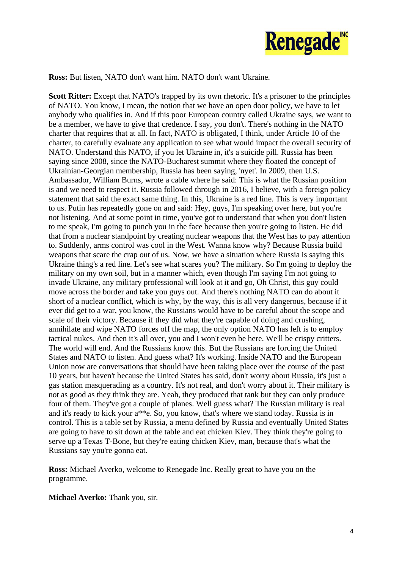

**Ross:** But listen, NATO don't want him. NATO don't want Ukraine.

**Scott Ritter:** Except that NATO's trapped by its own rhetoric. It's a prisoner to the principles of NATO. You know, I mean, the notion that we have an open door policy, we have to let anybody who qualifies in. And if this poor European country called Ukraine says, we want to be a member, we have to give that credence. I say, you don't. There's nothing in the NATO charter that requires that at all. In fact, NATO is obligated, I think, under Article 10 of the charter, to carefully evaluate any application to see what would impact the overall security of NATO. Understand this NATO, if you let Ukraine in, it's a suicide pill. Russia has been saying since 2008, since the NATO-Bucharest summit where they floated the concept of Ukrainian-Georgian membership, Russia has been saying, 'nyet'. In 2009, then U.S. Ambassador, William Burns, wrote a cable where he said: This is what the Russian position is and we need to respect it. Russia followed through in 2016, I believe, with a foreign policy statement that said the exact same thing. In this, Ukraine is a red line. This is very important to us. Putin has repeatedly gone on and said: Hey, guys, I'm speaking over here, but you're not listening. And at some point in time, you've got to understand that when you don't listen to me speak, I'm going to punch you in the face because then you're going to listen. He did that from a nuclear standpoint by creating nuclear weapons that the West has to pay attention to. Suddenly, arms control was cool in the West. Wanna know why? Because Russia build weapons that scare the crap out of us. Now, we have a situation where Russia is saying this Ukraine thing's a red line. Let's see what scares you? The military. So I'm going to deploy the military on my own soil, but in a manner which, even though I'm saying I'm not going to invade Ukraine, any military professional will look at it and go, Oh Christ, this guy could move across the border and take you guys out. And there's nothing NATO can do about it short of a nuclear conflict, which is why, by the way, this is all very dangerous, because if it ever did get to a war, you know, the Russians would have to be careful about the scope and scale of their victory. Because if they did what they're capable of doing and crushing, annihilate and wipe NATO forces off the map, the only option NATO has left is to employ tactical nukes. And then it's all over, you and I won't even be here. We'll be crispy critters. The world will end. And the Russians know this. But the Russians are forcing the United States and NATO to listen. And guess what? It's working. Inside NATO and the European Union now are conversations that should have been taking place over the course of the past 10 years, but haven't because the United States has said, don't worry about Russia, it's just a gas station masquerading as a country. It's not real, and don't worry about it. Their military is not as good as they think they are. Yeah, they produced that tank but they can only produce four of them. They've got a couple of planes. Well guess what? The Russian military is real and it's ready to kick your a\*\*e. So, you know, that's where we stand today. Russia is in control. This is a table set by Russia, a menu defined by Russia and eventually United States are going to have to sit down at the table and eat chicken Kiev. They think they're going to serve up a Texas T-Bone, but they're eating chicken Kiev, man, because that's what the Russians say you're gonna eat.

**Ross:** Michael Averko, welcome to Renegade Inc. Really great to have you on the programme.

**Michael Averko:** Thank you, sir.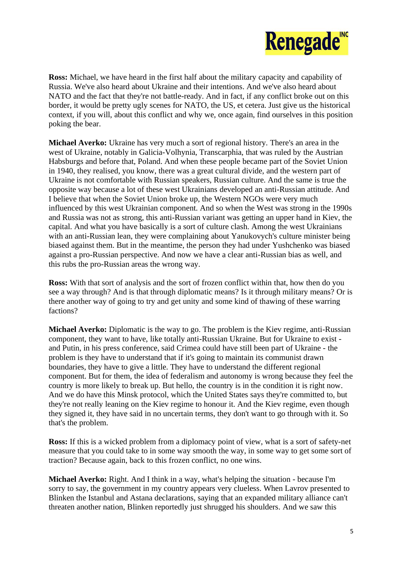

**Ross:** Michael, we have heard in the first half about the military capacity and capability of Russia. We've also heard about Ukraine and their intentions. And we've also heard about NATO and the fact that they're not battle-ready. And in fact, if any conflict broke out on this border, it would be pretty ugly scenes for NATO, the US, et cetera. Just give us the historical context, if you will, about this conflict and why we, once again, find ourselves in this position poking the bear.

**Michael Averko:** Ukraine has very much a sort of regional history. There's an area in the west of Ukraine, notably in Galicia-Volhynia, Transcarphia, that was ruled by the Austrian Habsburgs and before that, Poland. And when these people became part of the Soviet Union in 1940, they realised, you know, there was a great cultural divide, and the western part of Ukraine is not comfortable with Russian speakers, Russian culture. And the same is true the opposite way because a lot of these west Ukrainians developed an anti-Russian attitude. And I believe that when the Soviet Union broke up, the Western NGOs were very much influenced by this west Ukrainian component. And so when the West was strong in the 1990s and Russia was not as strong, this anti-Russian variant was getting an upper hand in Kiev, the capital. And what you have basically is a sort of culture clash. Among the west Ukrainians with an anti-Russian lean, they were complaining about Yanukovych's culture minister being biased against them. But in the meantime, the person they had under Yushchenko was biased against a pro-Russian perspective. And now we have a clear anti-Russian bias as well, and this rubs the pro-Russian areas the wrong way.

**Ross:** With that sort of analysis and the sort of frozen conflict within that, how then do you see a way through? And is that through diplomatic means? Is it through military means? Or is there another way of going to try and get unity and some kind of thawing of these warring factions?

**Michael Averko:** Diplomatic is the way to go. The problem is the Kiev regime, anti-Russian component, they want to have, like totally anti-Russian Ukraine. But for Ukraine to exist and Putin, in his press conference, said Crimea could have still been part of Ukraine - the problem is they have to understand that if it's going to maintain its communist drawn boundaries, they have to give a little. They have to understand the different regional component. But for them, the idea of federalism and autonomy is wrong because they feel the country is more likely to break up. But hello, the country is in the condition it is right now. And we do have this Minsk protocol, which the United States says they're committed to, but they're not really leaning on the Kiev regime to honour it. And the Kiev regime, even though they signed it, they have said in no uncertain terms, they don't want to go through with it. So that's the problem.

**Ross:** If this is a wicked problem from a diplomacy point of view, what is a sort of safety-net measure that you could take to in some way smooth the way, in some way to get some sort of traction? Because again, back to this frozen conflict, no one wins.

**Michael Averko:** Right. And I think in a way, what's helping the situation - because I'm sorry to say, the government in my country appears very clueless. When Lavrov presented to Blinken the Istanbul and Astana declarations, saying that an expanded military alliance can't threaten another nation, Blinken reportedly just shrugged his shoulders. And we saw this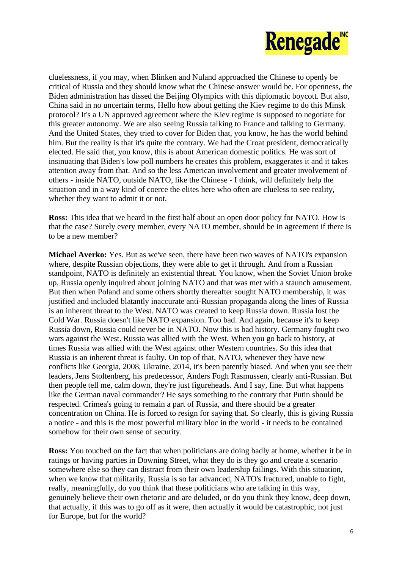

cluelessness, if you may, when Blinken and Nuland approached the Chinese to openly be critical of Russia and they should know what the Chinese answer would be. For openness, the Biden administration has dissed the Beijing Olympics with this diplomatic boycott. But also, China said in no uncertain terms, Hello how about getting the Kiev regime to do this Minsk protocol? It's a UN approved agreement where the Kiev regime is supposed to negotiate for this greater autonomy. We are also seeing Russia talking to France and talking to Germany. And the United States, they tried to cover for Biden that, you know, he has the world behind him. But the reality is that it's quite the contrary. We had the Croat president, democratically elected. He said that, you know, this is about American domestic politics. He was sort of insinuating that Biden's low poll numbers he creates this problem, exaggerates it and it takes attention away from that. And so the less American involvement and greater involvement of others - inside NATO, outside NATO, like the Chinese - I think, will definitely help the situation and in a way kind of coerce the elites here who often are clueless to see reality, whether they want to admit it or not.

**Ross:** This idea that we heard in the first half about an open door policy for NATO. How is that the case? Surely every member, every NATO member, should be in agreement if there is to be a new member?

**Michael Averko:** Yes. But as we've seen, there have been two waves of NATO's expansion where, despite Russian objections, they were able to get it through. And from a Russian standpoint, NATO is definitely an existential threat. You know, when the Soviet Union broke up, Russia openly inquired about joining NATO and that was met with a staunch amusement. But then when Poland and some others shortly thereafter sought NATO membership, it was justified and included blatantly inaccurate anti-Russian propaganda along the lines of Russia is an inherent threat to the West. NATO was created to keep Russia down. Russia lost the Cold War. Russia doesn't like NATO expansion. Too bad. And again, because it's to keep Russia down, Russia could never be in NATO. Now this is bad history. Germany fought two wars against the West. Russia was allied with the West. When you go back to history, at times Russia was allied with the West against other Western countries. So this idea that Russia is an inherent threat is faulty. On top of that, NATO, whenever they have new conflicts like Georgia, 2008, Ukraine, 2014, it's been patently biased. And when you see their leaders, Jens Stoltenberg, his predecessor, Anders Fogh Rasmussen, clearly anti-Russian. But then people tell me, calm down, they're just figureheads. And I say, fine. But what happens like the German naval commander? He says something to the contrary that Putin should be respected. Crimea's going to remain a part of Russia, and there should be a greater concentration on China. He is forced to resign for saying that. So clearly, this is giving Russia a notice - and this is the most powerful military bloc in the world - it needs to be contained somehow for their own sense of security.

**Ross:** You touched on the fact that when politicians are doing badly at home, whether it be in ratings or having parties in Downing Street, what they do is they go and create a scenario somewhere else so they can distract from their own leadership failings. With this situation, when we know that militarily, Russia is so far advanced, NATO's fractured, unable to fight, really, meaningfully, do you think that these politicians who are talking in this way, genuinely believe their own rhetoric and are deluded, or do you think they know, deep down, that actually, if this was to go off as it were, then actually it would be catastrophic, not just for Europe, but for the world?